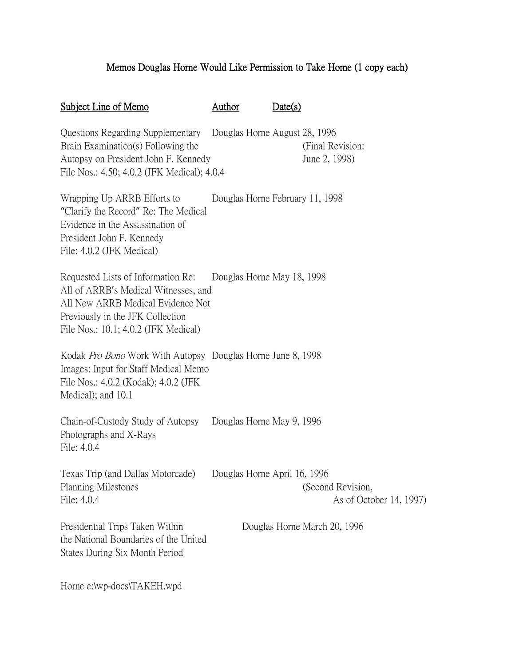## Memos Douglas Horne Would Like Permission to Take Home (1 copy each)

| Subject Line of Memo                                                                                                                                                                         | Author                       | Date(s)                                      |
|----------------------------------------------------------------------------------------------------------------------------------------------------------------------------------------------|------------------------------|----------------------------------------------|
| Questions Regarding Supplementary Douglas Horne August 28, 1996<br>Brain Examination(s) Following the<br>Autopsy on President John F. Kennedy<br>File Nos.: 4.50; 4.0.2 (JFK Medical); 4.0.4 |                              | (Final Revision:<br>June 2, 1998)            |
| Wrapping Up ARRB Efforts to<br>"Clarify the Record" Re: The Medical<br>Evidence in the Assassination of<br>President John F. Kennedy<br>File: 4.0.2 (JFK Medical)                            |                              | Douglas Horne February 11, 1998              |
| Requested Lists of Information Re:<br>All of ARRB's Medical Witnesses, and<br>All New ARRB Medical Evidence Not<br>Previously in the JFK Collection<br>File Nos.: 10.1; 4.0.2 (JFK Medical)  | Douglas Horne May 18, 1998   |                                              |
| Kodak <i>Pro Bono</i> Work With Autopsy Douglas Horne June 8, 1998<br>Images: Input for Staff Medical Memo<br>File Nos.: 4.0.2 (Kodak); 4.0.2 (JFK)<br>Medical); and 10.1                    |                              |                                              |
| Chain-of-Custody Study of Autopsy Douglas Horne May 9, 1996<br>Photographs and X-Rays<br>File: 4.0.4                                                                                         |                              |                                              |
| Texas Trip (and Dallas Motorcade)<br><b>Planning Milestones</b><br>File: 4.0.4                                                                                                               | Douglas Horne April 16, 1996 | (Second Revision,<br>As of October 14, 1997) |
| Presidential Trips Taken Within<br>the National Boundaries of the United<br>States During Six Month Period                                                                                   |                              | Douglas Horne March 20, 1996                 |
| Horne e:\wp-docs\TAKEH.wpd                                                                                                                                                                   |                              |                                              |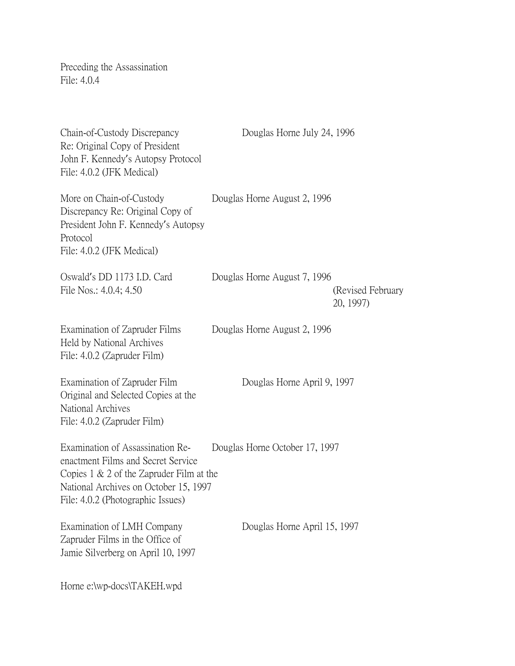Preceding the Assassination File: 4.0.4

| Chain-of-Custody Discrepancy<br>Re: Original Copy of President<br>John F. Kennedy's Autopsy Protocol<br>File: 4.0.2 (JFK Medical)                                                                   | Douglas Horne July 24, 1996    |                                |
|-----------------------------------------------------------------------------------------------------------------------------------------------------------------------------------------------------|--------------------------------|--------------------------------|
| More on Chain-of-Custody<br>Discrepancy Re: Original Copy of<br>President John F. Kennedy's Autopsy<br>Protocol<br>File: 4.0.2 (JFK Medical)                                                        | Douglas Horne August 2, 1996   |                                |
| Oswald's DD 1173 I.D. Card<br>File Nos.: 4.0.4; 4.50                                                                                                                                                | Douglas Horne August 7, 1996   | (Revised February<br>20, 1997) |
| Examination of Zapruder Films<br>Held by National Archives<br>File: 4.0.2 (Zapruder Film)                                                                                                           | Douglas Horne August 2, 1996   |                                |
| Examination of Zapruder Film<br>Original and Selected Copies at the<br>National Archives<br>File: 4.0.2 (Zapruder Film)                                                                             | Douglas Horne April 9, 1997    |                                |
| Examination of Assassination Re-<br>enactment Films and Secret Service<br>Copies $1 \& 2$ of the Zapruder Film at the<br>National Archives on October 15, 1997<br>File: 4.0.2 (Photographic Issues) | Douglas Horne October 17, 1997 |                                |
| Examination of LMH Company<br>Zapruder Films in the Office of<br>Jamie Silverberg on April 10, 1997                                                                                                 | Douglas Horne April 15, 1997   |                                |
| Horne e:\wp-docs\TAKEH.wpd                                                                                                                                                                          |                                |                                |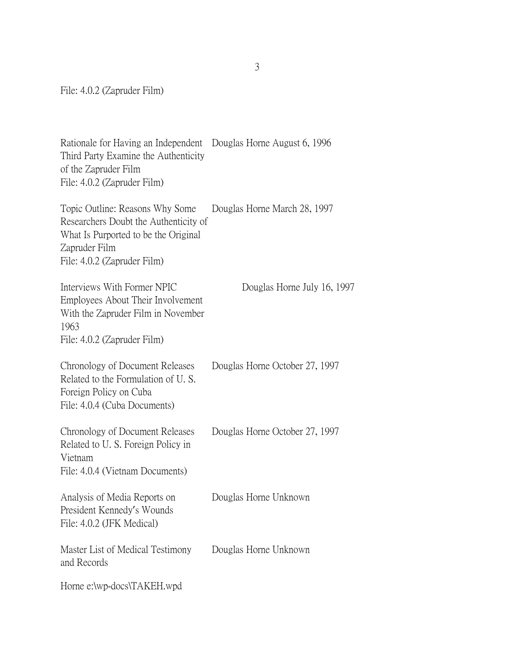File: 4.0.2 (Zapruder Film)

Rationale for Having an Independent Douglas Horne August 6, 1996 Third Party Examine the Authenticity of the Zapruder Film File: 4.0.2 (Zapruder Film)

Topic Outline: Reasons Why Some Douglas Horne March 28, 1997 Researchers Doubt the Authenticity of What Is Purported to be the Original Zapruder Film File: 4.0.2 (Zapruder Film)

| Interviews With Former NPIC<br>Employees About Their Involvement<br>With the Zapruder Film in November<br>1963<br>File: 4.0.2 (Zapruder Film) | Douglas Horne July 16, 1997    |
|-----------------------------------------------------------------------------------------------------------------------------------------------|--------------------------------|
| Chronology of Document Releases<br>Related to the Formulation of U.S.<br>Foreign Policy on Cuba<br>File: 4.0.4 (Cuba Documents)               | Douglas Horne October 27, 1997 |
| Chronology of Document Releases<br>Related to U.S. Foreign Policy in<br>Vietnam<br>File: 4.0.4 (Vietnam Documents)                            | Douglas Horne October 27, 1997 |
| Analysis of Media Reports on<br>President Kennedy's Wounds<br>File: 4.0.2 (JFK Medical)                                                       | Douglas Horne Unknown          |
| Master List of Medical Testimony<br>and Records                                                                                               | Douglas Horne Unknown          |
| Horne e:\wp-docs\TAKEH.wpd                                                                                                                    |                                |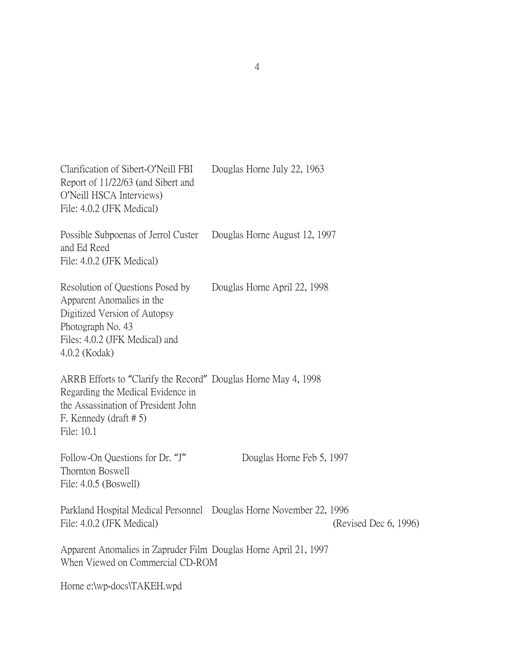| Clarification of Sibert-O'Neill FBI<br>Report of 11/22/63 (and Sibert and<br>O'Neill HSCA Interviews)<br>File: 4.0.2 (JFK Medical)                                                    | Douglas Horne July 22, 1963   |                       |
|---------------------------------------------------------------------------------------------------------------------------------------------------------------------------------------|-------------------------------|-----------------------|
| Possible Subpoenas of Jerrol Custer<br>and Ed Reed<br>File: 4.0.2 (JFK Medical)                                                                                                       | Douglas Horne August 12, 1997 |                       |
| Resolution of Questions Posed by<br>Apparent Anomalies in the<br>Digitized Version of Autopsy<br>Photograph No. 43<br>Files: 4.0.2 (JFK Medical) and<br>4.0.2 (Kodak)                 | Douglas Horne April 22, 1998  |                       |
| ARRB Efforts to "Clarify the Record" Douglas Horne May 4, 1998<br>Regarding the Medical Evidence in<br>the Assassination of President John<br>F. Kennedy (draft $# 5$ )<br>File: 10.1 |                               |                       |
| Follow-On Questions for Dr. "J"<br>Thornton Boswell<br>File: 4.0.5 (Boswell)                                                                                                          | Douglas Horne Feb 5, 1997     |                       |
| Parkland Hospital Medical Personnel Douglas Horne November 22, 1996<br>File: 4.0.2 (JFK Medical)                                                                                      |                               | (Revised Dec 6, 1996) |
| Apparent Anomalies in Zapruder Film Douglas Horne April 21, 1997<br>When Viewed on Commercial CD-ROM                                                                                  |                               |                       |
| Horne e:\wp-docs\TAKEH.wpd                                                                                                                                                            |                               |                       |

4